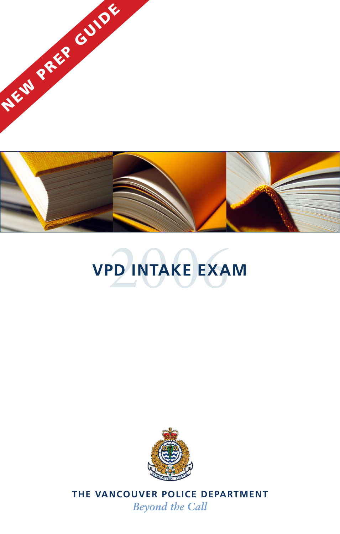





**THE VANCOUVER POLICE DEPARTMENT** *Beyond the Call*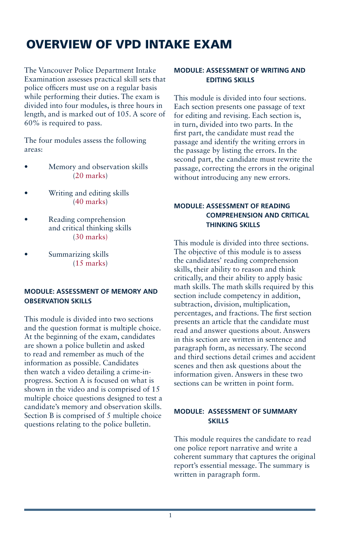# Overview of VPD Intake Exam

The Vancouver Police Department Intake Examination assesses practical skill sets that police officers must use on a regular basis while performing their duties. The exam is divided into four modules, is three hours in length, and is marked out of 105. A score of 60% is required to pass.

The four modules assess the following areas:

- Memory and observation skills (20 marks)
- Writing and editing skills (40 marks)
- Reading comprehension and critical thinking skills (30 marks)
- Summarizing skills (15 marks)

# **Module: Assessment of Memory and Observation Skills**

This module is divided into two sections and the question format is multiple choice. At the beginning of the exam, candidates are shown a police bulletin and asked to read and remember as much of the information as possible. Candidates then watch a video detailing a crime-inprogress. Section A is focused on what is shown in the video and is comprised of 15 multiple choice questions designed to test a candidate's memory and observation skills. Section B is comprised of 5 multiple choice questions relating to the police bulletin.

# **Module: Assessment of Writing and Editing Skills**

This module is divided into four sections. Each section presents one passage of text for editing and revising. Each section is, in turn, divided into two parts. In the first part, the candidate must read the passage and identify the writing errors in the passage by listing the errors. In the second part, the candidate must rewrite the passage, correcting the errors in the original without introducing any new errors.

# **Module: Assessment of Reading Comprehension and Critical Thinking Skills**

This module is divided into three sections. The objective of this module is to assess the candidates' reading comprehension skills, their ability to reason and think critically, and their ability to apply basic math skills. The math skills required by this section include competency in addition, subtraction, division, multiplication, percentages, and fractions. The first section presents an article that the candidate must read and answer questions about. Answers in this section are written in sentence and paragraph form, as necessary. The second and third sections detail crimes and accident scenes and then ask questions about the information given. Answers in these two sections can be written in point form.

## **Module: Assessment of Summary Skills**

This module requires the candidate to read one police report narrative and write a coherent summary that captures the original report's essential message. The summary is written in paragraph form.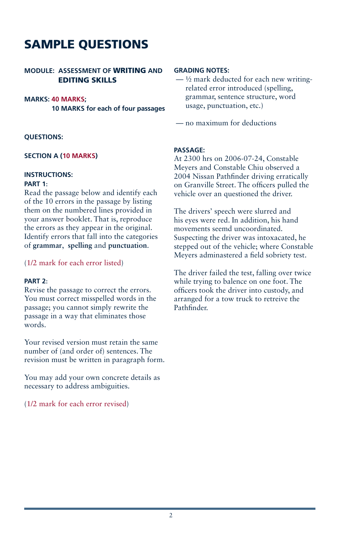# SAMPLE QUESTIONS

# **MODULE: Assessment of** WRITING **and** EDITING SKILLS

## **Marks: 40 marks;**

**10 marks for each of four passages**

## **QUESTIONS:**

## **Section A (10 marks)**

## **Instructions:**

### **Part 1**:

Read the passage below and identify each of the 10 errors in the passage by listing them on the numbered lines provided in your answer booklet. That is, reproduce the errors as they appear in the original. Identify errors that fall into the categories of **grammar**, **spelling** and **punctuation**.

## (1/2 mark for each error listed)

## **Part 2**:

Revise the passage to correct the errors. You must correct misspelled words in the passage; you cannot simply rewrite the passage in a way that eliminates those words.

Your revised version must retain the same number of (and order of) sentences. The revision must be written in paragraph form.

You may add your own concrete details as necessary to address ambiguities.

(1/2 mark for each error revised)

## **Grading Notes:**

 $-$  1/2 mark deducted for each new writingrelated error introduced (spelling, grammar, sentence structure, word usage, punctuation, etc.)

— no maximum for deductions

## **Passage:**

At 2300 hrs on 2006-07-24, Constable Meyers and Constable Chiu observed a 2004 Nissan Pathfinder driving erratically on Granville Street. The officers pulled the vehicle over an questioned the driver.

The drivers' speech were slurred and his eyes were red. In addition, his hand movements seemd uncoordinated. Suspecting the driver was intoxacated, he stepped out of the vehicle; where Constable Meyers adminastered a field sobriety test.

The driver failed the test, falling over twice while trying to balence on one foot. The officers took the driver into custody, and arranged for a tow truck to retreive the Pathfinder.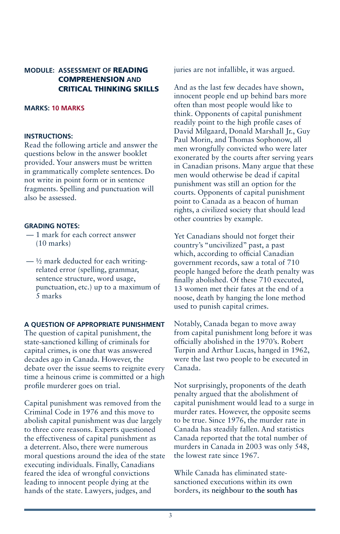# **MODULE: Assessment of** READING comPREHENSION **and** CRITICAL THINKING SKILLS

## **Marks: 10 marks**

#### **Instructions:**

Read the following article and answer the questions below in the answer booklet provided. Your answers must be written in grammatically complete sentences. Do not write in point form or in sentence fragments. Spelling and punctuation will also be assessed.

### **Grading Notes:**

- 1 mark for each correct answer (10 marks)
- $-\frac{1}{2}$  mark deducted for each writingrelated error (spelling, grammar, sentence structure, word usage, punctuation, etc.) up to a maximum of 5 marks

### **A Question of Appropriate Punishment**

The question of capital punishment, the state-sanctioned killing of criminals for capital crimes, is one that was answered decades ago in Canada. However, the debate over the issue seems to reignite every time a heinous crime is committed or a high profile murderer goes on trial.

Capital punishment was removed from the Criminal Code in 1976 and this move to abolish capital punishment was due largely to three core reasons. Experts questioned the effectiveness of capital punishment as a deterrent. Also, there were numerous moral questions around the idea of the state executing individuals. Finally, Canadians feared the idea of wrongful convictions leading to innocent people dying at the hands of the state. Lawyers, judges, and

juries are not infallible, it was argued.

And as the last few decades have shown, innocent people end up behind bars more often than most people would like to think. Opponents of capital punishment readily point to the high profile cases of David Milgaard, Donald Marshall Jr., Guy Paul Morin, and Thomas Sophonow, all men wrongfully convicted who were later exonerated by the courts after serving years in Canadian prisons. Many argue that these men would otherwise be dead if capital punishment was still an option for the courts. Opponents of capital punishment point to Canada as a beacon of human rights, a civilized society that should lead other countries by example.

Yet Canadians should not forget their country's "uncivilized" past, a past which, according to official Canadian government records, saw a total of 710 people hanged before the death penalty was finally abolished. Of these 710 executed, 13 women met their fates at the end of a noose, death by hanging the lone method used to punish capital crimes.

Notably, Canada began to move away from capital punishment long before it was officially abolished in the 1970's. Robert Turpin and Arthur Lucas, hanged in 1962, were the last two people to be executed in Canada.

Not surprisingly, proponents of the death penalty argued that the abolishment of capital punishment would lead to a surge in murder rates. However, the opposite seems to be true. Since 1976, the murder rate in Canada has steadily fallen. And statistics Canada reported that the total number of murders in Canada in 2003 was only 548, the lowest rate since 1967.

While Canada has eliminated statesanctioned executions within its own borders, its neighbour to the south has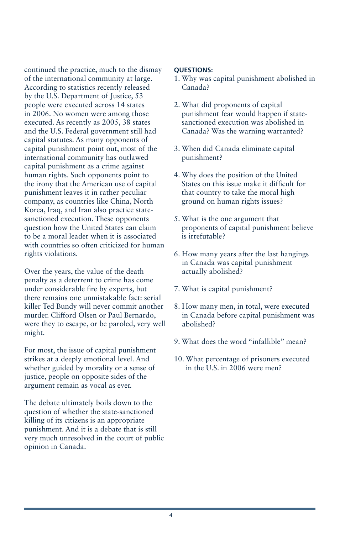continued the practice, much to the dismay of the international community at large. According to statistics recently released by the U.S. Department of Justice, 53 people were executed across 14 states in 2006. No women were among those executed. As recently as 2005, 38 states and the U.S. Federal government still had capital statutes. As many opponents of capital punishment point out, most of the international community has outlawed capital punishment as a crime against human rights. Such opponents point to the irony that the American use of capital punishment leaves it in rather peculiar company, as countries like China, North Korea, Iraq, and Iran also practice statesanctioned execution. These opponents question how the United States can claim to be a moral leader when it is associated with countries so often criticized for human rights violations.

Over the years, the value of the death penalty as a deterrent to crime has come under considerable fire by experts, but there remains one unmistakable fact: serial killer Ted Bundy will never commit another murder. Clifford Olsen or Paul Bernardo, were they to escape, or be paroled, very well might.

For most, the issue of capital punishment strikes at a deeply emotional level. And whether guided by morality or a sense of justice, people on opposite sides of the argument remain as vocal as ever.

The debate ultimately boils down to the question of whether the state-sanctioned killing of its citizens is an appropriate punishment. And it is a debate that is still very much unresolved in the court of public opinion in Canada.

## **Questions:**

- 1. Why was capital punishment abolished in Canada?
- 2. What did proponents of capital punishment fear would happen if statesanctioned execution was abolished in Canada? Was the warning warranted?
- 3. When did Canada eliminate capital punishment?
- 4. Why does the position of the United States on this issue make it difficult for that country to take the moral high ground on human rights issues?
- 5. What is the one argument that proponents of capital punishment believe is irrefutable?
- 6. How many years after the last hangings in Canada was capital punishment actually abolished?
- 7. What is capital punishment?
- 8. How many men, in total, were executed in Canada before capital punishment was abolished?
- 9. What does the word "infallible" mean?
- 10. What percentage of prisoners executed in the U.S. in 2006 were men?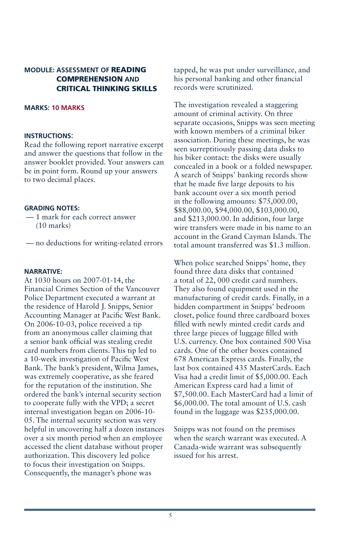# **MODULE: Assessment of** READING comPREHENSION **and** CRITICAL THINKING SKILLS

## **Marks: 10 marks**

#### **Instructions**:

Read the following report narrative excerpt and answer the questions that follow in the answer booklet provided. Your answers can be in point form. Round up your answers to two decimal places.

## **Grading Notes:**

- 1 mark for each correct answer (10 marks)
- no deductions for writing-related errors

## **Narrative:**

At 1030 hours on 2007-01-14, the Financial Crimes Section of the Vancouver Police Department executed a warrant at the residence of Harold J. Snipps, Senior Accounting Manager at Pacific West Bank. On 2006-10-03, police received a tip from an anonymous caller claiming that a senior bank official was stealing credit card numbers from clients. This tip led to a 10-week investigation of Pacific West Bank. The bank's president, Wilma James, was extremely cooperative, as she feared for the reputation of the institution. She ordered the bank's internal security section to cooperate fully with the VPD; a secret internal investigation began on 2006-10- 05. The internal security section was very helpful in uncovering half a dozen instances over a six month period when an employee accessed the client database without proper authorization. This discovery led police to focus their investigation on Snipps. Consequently, the manager's phone was

tapped, he was put under surveillance, and his personal banking and other financial records were scrutinized.

The investigation revealed a staggering amount of criminal activity. On three separate occasions, Snipps was seen meeting with known members of a criminal biker association. During these meetings, he was seen surreptitiously passing data disks to his biker contact: the disks were usually concealed in a book or a folded newspaper. A search of Snipps' banking records show that he made five large deposits to his bank account over a six month period in the following amounts: \$75,000.00, \$88,000.00, \$94,000.00, \$103,000.00, and \$213,000.00. In addition, four large wire transfers were made in his name to an account in the Grand Cayman Islands. The total amount transferred was \$1.3 million.

When police searched Snipps' home, they found three data disks that contained a total of 22, 000 credit card numbers. They also found equipment used in the manufacturing of credit cards. Finally, in a hidden compartment in Snipps' bedroom closet, police found three cardboard boxes filled with newly minted credit cards and three large pieces of luggage filled with U.S. currency. One box contained 500 Visa cards. One of the other boxes contained 678 American Express cards. Finally, the last box contained 435 MasterCards. Each Visa had a credit limit of \$5,000.00. Each American Express card had a limit of \$7,500.00. Each MasterCard had a limit of \$6,000.00. The total amount of U.S. cash found in the luggage was \$235,000.00.

Snipps was not found on the premises when the search warrant was executed. A Canada-wide warrant was subsequently issued for his arrest.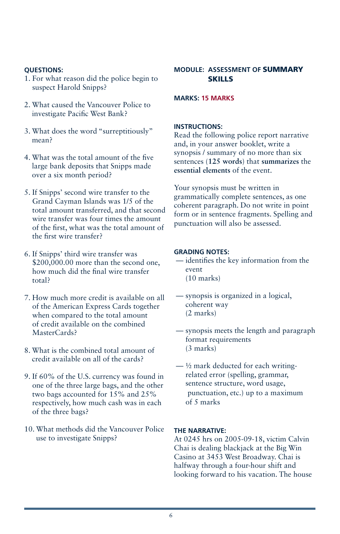# **Questions:**

- 1. For what reason did the police begin to suspect Harold Snipps?
- 2. What caused the Vancouver Police to investigate Pacific West Bank?
- 3. What does the word "surreptitiously" mean?
- 4. What was the total amount of the five large bank deposits that Snipps made over a six month period?
- 5. If Snipps' second wire transfer to the Grand Cayman Islands was 1/5 of the total amount transferred, and that second wire transfer was four times the amount of the first, what was the total amount of the first wire transfer?
- 6. If Snipps' third wire transfer was \$200,000.00 more than the second one, how much did the final wire transfer total?
- 7. How much more credit is available on all of the American Express Cards together when compared to the total amount of credit available on the combined MasterCards?
- 8. What is the combined total amount of credit available on all of the cards?
- 9. If 60% of the U.S. currency was found in one of the three large bags, and the other two bags accounted for 15% and 25% respectively, how much cash was in each of the three bags?
- 10. What methods did the Vancouver Police use to investigate Snipps?

# **MODULE: Assessment of** SUMMARY SKILLS

## **Marks: 15 marks**

## **Instructions:**

Read the following police report narrative and, in your answer booklet, write a synopsis / summary of no more than six sentences (**125 words**) that **summarizes** the **essential elements** of the event.

Your synopsis must be written in grammatically complete sentences, as one coherent paragraph. Do not write in point form or in sentence fragments. Spelling and punctuation will also be assessed.

## **Grading Notes:**

- identifies the key information from the event (10 marks)
- synopsis is organized in a logical, coherent way (2 marks)
- synopsis meets the length and paragraph format requirements (3 marks)
- $-$  ½ mark deducted for each writingrelated error (spelling, grammar, sentence structure, word usage, punctuation, etc.) up to a maximum of 5 marks

## **The Narrative:**

At 0245 hrs on 2005-09-18, victim Calvin Chai is dealing blackjack at the Big Win Casino at 3453 West Broadway. Chai is halfway through a four-hour shift and looking forward to his vacation. The house